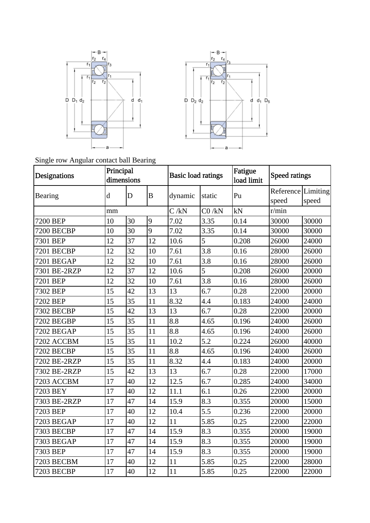



Single row Angular contact ball Bearing

| Designations      | Principal   | dimensions  |          |         | Fatigue<br><b>Basic load ratings</b><br>load limit |       | Speed ratings               |       |
|-------------------|-------------|-------------|----------|---------|----------------------------------------------------|-------|-----------------------------|-------|
| Bearing           | $\mathbf d$ | $\mathbf D$ | $\bf{B}$ | dynamic | static                                             | Pu    | Reference Limiting<br>speed | speed |
|                   | mm          |             |          | C/kN    | $CO$ /kN                                           | kN    | r/min                       |       |
| 7200 BEP          | 10          | 30          | 9        | 7.02    | 3.35                                               | 0.14  | 30000                       | 30000 |
| 7200 BECBP        | 10          | 30          | 9        | 7.02    | 3.35                                               | 0.14  | 30000                       | 30000 |
| 7301 BEP          | 12          | 37          | 12       | 10.6    | 5                                                  | 0.208 | 26000                       | 24000 |
| 7201 BECBP        | 12          | 32          | 10       | 7.61    | 3.8                                                | 0.16  | 28000                       | 26000 |
| 7201 BEGAP        | 12          | 32          | 10       | 7.61    | 3.8                                                | 0.16  | 28000                       | 26000 |
| 7301 BE-2RZP      | 12          | 37          | 12       | 10.6    | 5                                                  | 0.208 | 26000                       | 20000 |
| 7201 BEP          | 12          | 32          | 10       | 7.61    | 3.8                                                | 0.16  | 28000                       | 26000 |
| 7302 BEP          | 15          | 42          | 13       | 13      | 6.7                                                | 0.28  | 22000                       | 20000 |
| 7202 BEP          | 15          | 35          | 11       | 8.32    | 4.4                                                | 0.183 | 24000                       | 24000 |
| 7302 BECBP        | 15          | 42          | 13       | 13      | 6.7                                                | 0.28  | 22000                       | 20000 |
| 7202 BEGBP        | 15          | 35          | 11       | 8.8     | 4.65                                               | 0.196 | 24000                       | 26000 |
| 7202 BEGAP        | 15          | 35          | 11       | 8.8     | 4.65                                               | 0.196 | 24000                       | 26000 |
| 7202 ACCBM        | 15          | 35          | 11       | 10.2    | 5.2                                                | 0.224 | 26000                       | 40000 |
| 7202 BECBP        | 15          | 35          | 11       | 8.8     | 4.65                                               | 0.196 | 24000                       | 26000 |
| 7202 BE-2RZP      | 15          | 35          | 11       | 8.32    | 4.4                                                | 0.183 | 24000                       | 20000 |
| 7302 BE-2RZP      | 15          | 42          | 13       | 13      | 6.7                                                | 0.28  | 22000                       | 17000 |
| 7203 ACCBM        | 17          | 40          | 12       | 12.5    | 6.7                                                | 0.285 | 24000                       | 34000 |
| 7203 BEY          | 17          | 40          | 12       | 11.1    | 6.1                                                | 0.26  | 22000                       | 20000 |
| 7303 BE-2RZP      | 17          | 47          | 14       | 15.9    | 8.3                                                | 0.355 | 20000                       | 15000 |
| 7203 BEP          | 17          | 40          | 12       | 10.4    | 5.5                                                | 0.236 | 22000                       | 20000 |
| <b>7203 BEGAP</b> | 17          | 40          | 12       | 11      | 5.85                                               | 0.25  | 22000                       | 22000 |
| 7303 BECBP        | 17          | 47          | 14       | 15.9    | 8.3                                                | 0.355 | 20000                       | 19000 |
| <b>7303 BEGAP</b> | 17          | 47          | 14       | 15.9    | 8.3                                                | 0.355 | 20000                       | 19000 |
| 7303 BEP          | 17          | 47          | 14       | 15.9    | 8.3                                                | 0.355 | 20000                       | 19000 |
| 7203 BECBM        | 17          | 40          | 12       | 11      | 5.85                                               | 0.25  | 22000                       | 28000 |
| 7203 BECBP        | 17          | 40          | 12       | 11      | 5.85                                               | 0.25  | 22000                       | 22000 |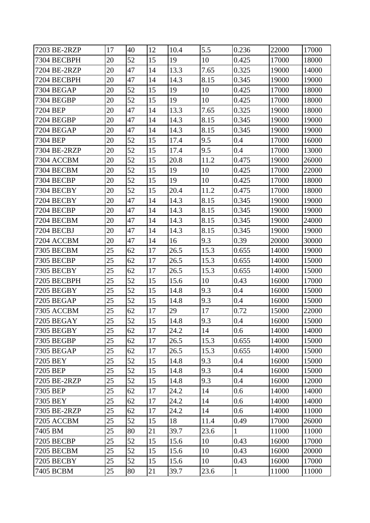| 7203 BE-2RZP      | 17 | 40 | 12 | 10.4 | 5.5  | 0.236        | 22000 | 17000 |
|-------------------|----|----|----|------|------|--------------|-------|-------|
| 7304 BECBPH       | 20 | 52 | 15 | 19   | 10   | 0.425        | 17000 | 18000 |
| 7204 BE-2RZP      | 20 | 47 | 14 | 13.3 | 7.65 | 0.325        | 19000 | 14000 |
| 7204 BECBPH       | 20 | 47 | 14 | 14.3 | 8.15 | 0.345        | 19000 | 19000 |
| <b>7304 BEGAP</b> | 20 | 52 | 15 | 19   | 10   | 0.425        | 17000 | 18000 |
| 7304 BEGBP        | 20 | 52 | 15 | 19   | 10   | 0.425        | 17000 | 18000 |
| 7204 BEP          | 20 | 47 | 14 | 13.3 | 7.65 | 0.325        | 19000 | 18000 |
| 7204 BEGBP        | 20 | 47 | 14 | 14.3 | 8.15 | 0.345        | 19000 | 19000 |
| 7204 BEGAP        | 20 | 47 | 14 | 14.3 | 8.15 | 0.345        | 19000 | 19000 |
| 7304 BEP          | 20 | 52 | 15 | 17.4 | 9.5  | 0.4          | 17000 | 16000 |
| 7304 BE-2RZP      | 20 | 52 | 15 | 17.4 | 9.5  | 0.4          | 17000 | 13000 |
| 7304 ACCBM        | 20 | 52 | 15 | 20.8 | 11.2 | 0.475        | 19000 | 26000 |
| 7304 BECBM        | 20 | 52 | 15 | 19   | 10   | 0.425        | 17000 | 22000 |
| 7304 BECBP        | 20 | 52 | 15 | 19   | 10   | 0.425        | 17000 | 18000 |
| 7304 BECBY        | 20 | 52 | 15 | 20.4 | 11.2 | 0.475        | 17000 | 18000 |
| 7204 BECBY        | 20 | 47 | 14 | 14.3 | 8.15 | 0.345        | 19000 | 19000 |
| 7204 BECBP        | 20 | 47 | 14 | 14.3 | 8.15 | 0.345        | 19000 | 19000 |
| 7204 BECBM        | 20 | 47 | 14 | 14.3 | 8.15 | 0.345        | 19000 | 24000 |
| 7204 BECBJ        | 20 | 47 | 14 | 14.3 | 8.15 | 0.345        | 19000 | 19000 |
| 7204 ACCBM        | 20 | 47 | 14 | 16   | 9.3  | 0.39         | 20000 | 30000 |
| <b>7305 BECBM</b> | 25 | 62 | 17 | 26.5 | 15.3 | 0.655        | 14000 | 19000 |
| 7305 BECBP        | 25 | 62 | 17 | 26.5 | 15.3 | 0.655        | 14000 | 15000 |
| 7305 BECBY        | 25 | 62 | 17 | 26.5 | 15.3 | 0.655        | 14000 | 15000 |
| 7205 BECBPH       | 25 | 52 | 15 | 15.6 | 10   | 0.43         | 16000 | 17000 |
| 7205 BEGBY        | 25 | 52 | 15 | 14.8 | 9.3  | 0.4          | 16000 | 15000 |
| 7205 BEGAP        | 25 | 52 | 15 | 14.8 | 9.3  | 0.4          | 16000 | 15000 |
| 7305 ACCBM        | 25 | 62 | 17 | 29   | 17   | 0.72         | 15000 | 22000 |
| <b>7205 BEGAY</b> | 25 | 52 | 15 | 14.8 | 9.3  | 0.4          | 16000 | 15000 |
| 7305 BEGBY        | 25 | 62 | 17 | 24.2 | 14   | 0.6          | 14000 | 14000 |
| <b>7305 BEGBP</b> | 25 | 62 | 17 | 26.5 | 15.3 | 0.655        | 14000 | 15000 |
| 7305 BEGAP        | 25 | 62 | 17 | 26.5 | 15.3 | 0.655        | 14000 | 15000 |
| 7205 BEY          | 25 | 52 | 15 | 14.8 | 9.3  | 0.4          | 16000 | 15000 |
| 7205 BEP          | 25 | 52 | 15 | 14.8 | 9.3  | 0.4          | 16000 | 15000 |
| 7205 BE-2RZP      | 25 | 52 | 15 | 14.8 | 9.3  | 0.4          | 16000 | 12000 |
| 7305 BEP          | 25 | 62 | 17 | 24.2 | 14   | 0.6          | 14000 | 14000 |
| 7305 BEY          | 25 | 62 | 17 | 24.2 | 14   | 0.6          | 14000 | 14000 |
| 7305 BE-2RZP      | 25 | 62 | 17 | 24.2 | 14   | 0.6          | 14000 | 11000 |
| 7205 ACCBM        | 25 | 52 | 15 | 18   | 11.4 | 0.49         | 17000 | 26000 |
| 7405 BM           | 25 | 80 | 21 | 39.7 | 23.6 | $\mathbf{1}$ | 11000 | 11000 |
| 7205 BECBP        | 25 | 52 | 15 | 15.6 | 10   | 0.43         | 16000 | 17000 |
| 7205 BECBM        | 25 | 52 | 15 | 15.6 | 10   | 0.43         | 16000 | 20000 |
| 7205 BECBY        | 25 | 52 | 15 | 15.6 | 10   | 0.43         | 16000 | 17000 |
| 7405 BCBM         | 25 | 80 | 21 | 39.7 | 23.6 | $\mathbf{1}$ | 11000 | 11000 |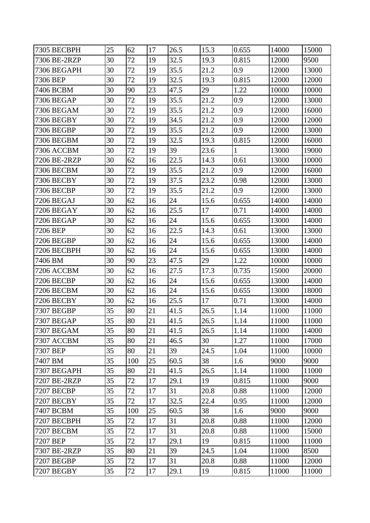| 7305 BECBPH       | 25 | 62  | 17 | 26.5 | 15.3 | 0.655        | 14000 | 15000 |
|-------------------|----|-----|----|------|------|--------------|-------|-------|
| 7306 BE-2RZP      | 30 | 72  | 19 | 32.5 | 19.3 | 0.815        | 12000 | 9500  |
| 7306 BEGAPH       | 30 | 72  | 19 | 35.5 | 21.2 | 0.9          | 12000 | 13000 |
| 7306 BEP          | 30 | 72  | 19 | 32.5 | 19.3 | 0.815        | 12000 | 12000 |
| 7406 BCBM         | 30 | 90  | 23 | 47.5 | 29   | 1.22         | 10000 | 10000 |
| 7306 BEGAP        | 30 | 72  | 19 | 35.5 | 21.2 | 0.9          | 12000 | 13000 |
| 7306 BEGAM        | 30 | 72  | 19 | 35.5 | 21.2 | 0.9          | 12000 | 16000 |
| 7306 BEGBY        | 30 | 72  | 19 | 34.5 | 21.2 | 0.9          | 12000 | 12000 |
| 7306 BEGBP        | 30 | 72  | 19 | 35.5 | 21.2 | 0.9          | 12000 | 13000 |
| 7306 BEGBM        | 30 | 72  | 19 | 32.5 | 19.3 | 0.815        | 12000 | 16000 |
| 7306 ACCBM        | 30 | 72  | 19 | 39   | 23.6 | $\mathbf{1}$ | 13000 | 19000 |
| 7206 BE-2RZP      | 30 | 62  | 16 | 22.5 | 14.3 | 0.61         | 13000 | 10000 |
| 7306 BECBM        | 30 | 72  | 19 | 35.5 | 21.2 | 0.9          | 12000 | 16000 |
| 7306 BECBY        | 30 | 72  | 19 | 37.5 | 23.2 | 0.98         | 12000 | 13000 |
| 7306 BECBP        | 30 | 72  | 19 | 35.5 | 21.2 | 0.9          | 12000 | 13000 |
| 7206 BEGAJ        | 30 | 62  | 16 | 24   | 15.6 | 0.655        | 14000 | 14000 |
| 7206 BEGAY        | 30 | 62  | 16 | 25.5 | 17   | 0.71         | 14000 | 14000 |
| 7206 BEGAP        | 30 | 62  | 16 | 24   | 15.6 | 0.655        | 13000 | 14000 |
| 7206 BEP          | 30 | 62  | 16 | 22.5 | 14.3 | 0.61         | 13000 | 13000 |
| 7206 BEGBP        | 30 | 62  | 16 | 24   | 15.6 | 0.655        | 13000 | 14000 |
| 7206 BECBPH       | 30 | 62  | 16 | 24   | 15.6 | 0.655        | 13000 | 14000 |
| 7406 BM           | 30 | 90  | 23 | 47.5 | 29   | 1.22         | 10000 | 10000 |
| 7206 ACCBM        | 30 | 62  | 16 | 27.5 | 17.3 | 0.735        | 15000 | 20000 |
| 7206 BECBP        | 30 | 62  | 16 | 24   | 15.6 | 0.655        | 13000 | 14000 |
| 7206 BECBM        | 30 | 62  | 16 | 24   | 15.6 | 0.655        | 13000 | 18000 |
| 7206 BECBY        | 30 | 62  | 16 | 25.5 | 17   | 0.71         | 13000 | 14000 |
| 7307 BEGBP        | 35 | 80  | 21 | 41.5 | 26.5 | 1.14         | 11000 | 11000 |
| 7307 BEGAP        | 35 | 80  | 21 | 41.5 | 26.5 | 1.14         | 11000 | 11000 |
| <b>7307 BEGAM</b> | 35 | 80  | 21 | 41.5 | 26.5 | 1.14         | 11000 | 14000 |
| 7307 ACCBM        | 35 | 80  | 21 | 46.5 | 30   | 1.27         | 11000 | 17000 |
| 7307 BEP          | 35 | 80  | 21 | 39   | 24.5 | 1.04         | 11000 | 10000 |
| 7407 BM           | 35 | 100 | 25 | 60.5 | 38   | 1.6          | 9000  | 9000  |
| 7307 BEGAPH       | 35 | 80  | 21 | 41.5 | 26.5 | 1.14         | 11000 | 11000 |
| 7207 BE-2RZP      | 35 | 72  | 17 | 29.1 | 19   | 0.815        | 11000 | 9000  |
| 7207 BECBP        | 35 | 72  | 17 | 31   | 20.8 | 0.88         | 11000 | 12000 |
| 7207 BECBY        | 35 | 72  | 17 | 32.5 | 22.4 | 0.95         | 11000 | 12000 |
| 7407 BCBM         | 35 | 100 | 25 | 60.5 | 38   | 1.6          | 9000  | 9000  |
| 7207 BECBPH       | 35 | 72  | 17 | 31   | 20.8 | 0.88         | 11000 | 12000 |
| 7207 BECBM        | 35 | 72  | 17 | 31   | 20.8 | 0.88         | 11000 | 15000 |
| 7207 BEP          | 35 | 72  | 17 | 29.1 | 19   | 0.815        | 11000 | 11000 |
| 7307 BE-2RZP      | 35 | 80  | 21 | 39   | 24.5 | 1.04         | 11000 | 8500  |
| 7207 BEGBP        | 35 | 72  | 17 | 31   | 20.8 | 0.88         | 11000 | 12000 |
| 7207 BEGBY        | 35 | 72  | 17 | 29.1 | 19   | 0.815        | 11000 | 11000 |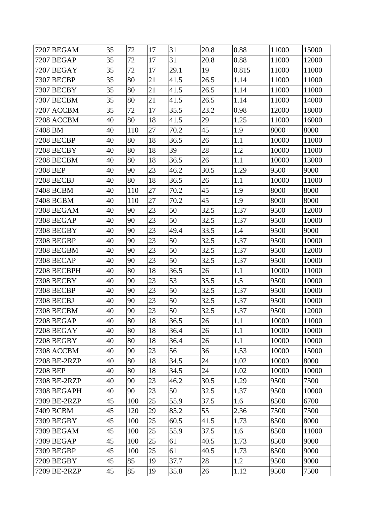| <b>7207 BEGAM</b> | 35 | 72  | 17 | 31   | 20.8 | 0.88  | 11000 | 15000 |
|-------------------|----|-----|----|------|------|-------|-------|-------|
| 7207 BEGAP        | 35 | 72  | 17 | 31   | 20.8 | 0.88  | 11000 | 12000 |
| 7207 BEGAY        | 35 | 72  | 17 | 29.1 | 19   | 0.815 | 11000 | 11000 |
| 7307 BECBP        | 35 | 80  | 21 | 41.5 | 26.5 | 1.14  | 11000 | 11000 |
| 7307 BECBY        | 35 | 80  | 21 | 41.5 | 26.5 | 1.14  | 11000 | 11000 |
| 7307 BECBM        | 35 | 80  | 21 | 41.5 | 26.5 | 1.14  | 11000 | 14000 |
| 7207 ACCBM        | 35 | 72  | 17 | 35.5 | 23.2 | 0.98  | 12000 | 18000 |
| 7208 ACCBM        | 40 | 80  | 18 | 41.5 | 29   | 1.25  | 11000 | 16000 |
| 7408 BM           | 40 | 110 | 27 | 70.2 | 45   | 1.9   | 8000  | 8000  |
| 7208 BECBP        | 40 | 80  | 18 | 36.5 | 26   | 1.1   | 10000 | 11000 |
| 7208 BECBY        | 40 | 80  | 18 | 39   | 28   | 1.2   | 10000 | 11000 |
| 7208 BECBM        | 40 | 80  | 18 | 36.5 | 26   | 1.1   | 10000 | 13000 |
| 7308 BEP          | 40 | 90  | 23 | 46.2 | 30.5 | 1.29  | 9500  | 9000  |
| 7208 BECBJ        | 40 | 80  | 18 | 36.5 | 26   | 1.1   | 10000 | 11000 |
| 7408 BCBM         | 40 | 110 | 27 | 70.2 | 45   | 1.9   | 8000  | 8000  |
| 7408 BGBM         | 40 | 110 | 27 | 70.2 | 45   | 1.9   | 8000  | 8000  |
| 7308 BEGAM        | 40 | 90  | 23 | 50   | 32.5 | 1.37  | 9500  | 12000 |
| <b>7308 BEGAP</b> | 40 | 90  | 23 | 50   | 32.5 | 1.37  | 9500  | 10000 |
| 7308 BEGBY        | 40 | 90  | 23 | 49.4 | 33.5 | 1.4   | 9500  | 9000  |
| 7308 BEGBP        | 40 | 90  | 23 | 50   | 32.5 | 1.37  | 9500  | 10000 |
| 7308 BEGBM        | 40 | 90  | 23 | 50   | 32.5 | 1.37  | 9500  | 12000 |
| 7308 BECAP        | 40 | 90  | 23 | 50   | 32.5 | 1.37  | 9500  | 10000 |
| 7208 BECBPH       | 40 | 80  | 18 | 36.5 | 26   | 1.1   | 10000 | 11000 |
| 7308 BECBY        | 40 | 90  | 23 | 53   | 35.5 | 1.5   | 9500  | 10000 |
| 7308 BECBP        | 40 | 90  | 23 | 50   | 32.5 | 1.37  | 9500  | 10000 |
| 7308 BECBJ        | 40 | 90  | 23 | 50   | 32.5 | 1.37  | 9500  | 10000 |
| <b>7308 BECBM</b> | 40 | 90  | 23 | 50   | 32.5 | 1.37  | 9500  | 12000 |
| 7208 BEGAP        | 40 | 80  | 18 | 36.5 | 26   | 1.1   | 10000 | 11000 |
| 7208 BEGAY        | 40 | 80  | 18 | 36.4 | 26   | 1.1   | 10000 | 10000 |
| 7208 BEGBY        | 40 | 80  | 18 | 36.4 | 26   | 1.1   | 10000 | 10000 |
| 7308 ACCBM        | 40 | 90  | 23 | 56   | 36   | 1.53  | 10000 | 15000 |
| 7208 BE-2RZP      | 40 | 80  | 18 | 34.5 | 24   | 1.02  | 10000 | 8000  |
| 7208 BEP          | 40 | 80  | 18 | 34.5 | 24   | 1.02  | 10000 | 10000 |
| 7308 BE-2RZP      | 40 | 90  | 23 | 46.2 | 30.5 | 1.29  | 9500  | 7500  |
| 7308 BEGAPH       | 40 | 90  | 23 | 50   | 32.5 | 1.37  | 9500  | 10000 |
| 7309 BE-2RZP      | 45 | 100 | 25 | 55.9 | 37.5 | 1.6   | 8500  | 6700  |
| 7409 BCBM         | 45 | 120 | 29 | 85.2 | 55   | 2.36  | 7500  | 7500  |
| 7309 BEGBY        | 45 | 100 | 25 | 60.5 | 41.5 | 1.73  | 8500  | 8000  |
| <b>7309 BEGAM</b> | 45 | 100 | 25 | 55.9 | 37.5 | 1.6   | 8500  | 11000 |
| 7309 BEGAP        | 45 | 100 | 25 | 61   | 40.5 | 1.73  | 8500  | 9000  |
| 7309 BEGBP        | 45 | 100 | 25 | 61   | 40.5 | 1.73  | 8500  | 9000  |
| 7209 BEGBY        | 45 | 85  | 19 | 37.7 | 28   | 1.2   | 9500  | 9000  |
| 7209 BE-2RZP      | 45 | 85  | 19 | 35.8 | 26   | 1.12  | 9500  | 7500  |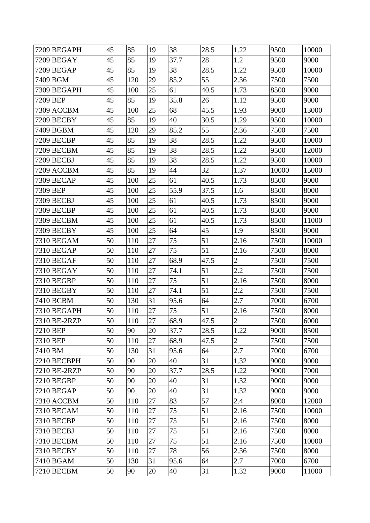| 7209 BEGAPH       | 45 | 85  | 19 | 38   | 28.5 | 1.22           | 9500  | 10000 |
|-------------------|----|-----|----|------|------|----------------|-------|-------|
| 7209 BEGAY        | 45 | 85  | 19 | 37.7 | 28   | 1.2            | 9500  | 9000  |
| 7209 BEGAP        | 45 | 85  | 19 | 38   | 28.5 | 1.22           | 9500  | 10000 |
| 7409 BGM          | 45 | 120 | 29 | 85.2 | 55   | 2.36           | 7500  | 7500  |
| 7309 BEGAPH       | 45 | 100 | 25 | 61   | 40.5 | 1.73           | 8500  | 9000  |
| 7209 BEP          | 45 | 85  | 19 | 35.8 | 26   | 1.12           | 9500  | 9000  |
| 7309 ACCBM        | 45 | 100 | 25 | 68   | 45.5 | 1.93           | 9000  | 13000 |
| 7209 BECBY        | 45 | 85  | 19 | 40   | 30.5 | 1.29           | 9500  | 10000 |
| 7409 BGBM         | 45 | 120 | 29 | 85.2 | 55   | 2.36           | 7500  | 7500  |
| 7209 BECBP        | 45 | 85  | 19 | 38   | 28.5 | 1.22           | 9500  | 10000 |
| 7209 BECBM        | 45 | 85  | 19 | 38   | 28.5 | 1.22           | 9500  | 12000 |
| 7209 BECBJ        | 45 | 85  | 19 | 38   | 28.5 | 1.22           | 9500  | 10000 |
| 7209 ACCBM        | 45 | 85  | 19 | 44   | 32   | 1.37           | 10000 | 15000 |
| 7309 BECAP        | 45 | 100 | 25 | 61   | 40.5 | 1.73           | 8500  | 9000  |
| 7309 BEP          | 45 | 100 | 25 | 55.9 | 37.5 | 1.6            | 8500  | 8000  |
| 7309 BECBJ        | 45 | 100 | 25 | 61   | 40.5 | 1.73           | 8500  | 9000  |
| 7309 BECBP        | 45 | 100 | 25 | 61   | 40.5 | 1.73           | 8500  | 9000  |
| 7309 BECBM        | 45 | 100 | 25 | 61   | 40.5 | 1.73           | 8500  | 11000 |
| 7309 BECBY        | 45 | 100 | 25 | 64   | 45   | 1.9            | 8500  | 9000  |
| <b>7310 BEGAM</b> | 50 | 110 | 27 | 75   | 51   | 2.16           | 7500  | 10000 |
| 7310 BEGAP        | 50 | 110 | 27 | 75   | 51   | 2.16           | 7500  | 8000  |
| 7310 BEGAF        | 50 | 110 | 27 | 68.9 | 47.5 | $\overline{2}$ | 7500  | 7500  |
| 7310 BEGAY        | 50 | 110 | 27 | 74.1 | 51   | 2.2            | 7500  | 7500  |
| 7310 BEGBP        | 50 | 110 | 27 | 75   | 51   | 2.16           | 7500  | 8000  |
| 7310 BEGBY        | 50 | 110 | 27 | 74.1 | 51   | 2.2            | 7500  | 7500  |
| 7410 BCBM         | 50 | 130 | 31 | 95.6 | 64   | 2.7            | 7000  | 6700  |
| 7310 BEGAPH       | 50 | 110 | 27 | 75   | 51   | 2.16           | 7500  | 8000  |
| 7310 BE-2RZP      | 50 | 110 | 27 | 68.9 | 47.5 | $\overline{2}$ | 7500  | 6000  |
| 7210 BEP          | 50 | 90  | 20 | 37.7 | 28.5 | 1.22           | 9000  | 8500  |
| 7310 BEP          | 50 | 110 | 27 | 68.9 | 47.5 | $\overline{2}$ | 7500  | 7500  |
| 7410 BM           | 50 | 130 | 31 | 95.6 | 64   | 2.7            | 7000  | 6700  |
| 7210 BECBPH       | 50 | 90  | 20 | 40   | 31   | 1.32           | 9000  | 9000  |
| 7210 BE-2RZP      | 50 | 90  | 20 | 37.7 | 28.5 | 1.22           | 9000  | 7000  |
| <b>7210 BEGBP</b> | 50 | 90  | 20 | 40   | 31   | 1.32           | 9000  | 9000  |
| <b>7210 BEGAP</b> | 50 | 90  | 20 | 40   | 31   | 1.32           | 9000  | 9000  |
| <b>7310 ACCBM</b> | 50 | 110 | 27 | 83   | 57   | 2.4            | 8000  | 12000 |
| <b>7310 BECAM</b> | 50 | 110 | 27 | 75   | 51   | 2.16           | 7500  | 10000 |
| 7310 BECBP        | 50 | 110 | 27 | 75   | 51   | 2.16           | 7500  | 8000  |
| 7310 BECBJ        | 50 | 110 | 27 | 75   | 51   | 2.16           | 7500  | 8000  |
| <b>7310 BECBM</b> | 50 | 110 | 27 | 75   | 51   | 2.16           | 7500  | 10000 |
| 7310 BECBY        | 50 | 110 | 27 | 78   | 56   | 2.36           | 7500  | 8000  |
| 7410 BGAM         | 50 | 130 | 31 | 95.6 | 64   | 2.7            | 7000  | 6700  |
| 7210 BECBM        | 50 | 90  | 20 | 40   | 31   | 1.32           | 9000  | 11000 |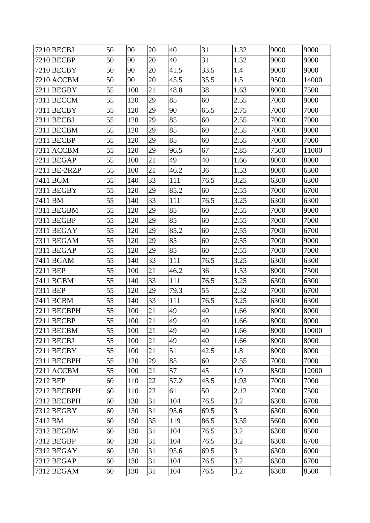| 7210 BECBJ        | 50 | 90  | 20 | 40   | 31   | 1.32           | 9000 | 9000  |
|-------------------|----|-----|----|------|------|----------------|------|-------|
| 7210 BECBP        | 50 | 90  | 20 | 40   | 31   | 1.32           | 9000 | 9000  |
| 7210 BECBY        | 50 | 90  | 20 | 41.5 | 33.5 | 1.4            | 9000 | 9000  |
| 7210 ACCBM        | 50 | 90  | 20 | 45.5 | 35.5 | 1.5            | 9500 | 14000 |
| 7211 BEGBY        | 55 | 100 | 21 | 48.8 | 38   | 1.63           | 8000 | 7500  |
| 7311 BECCM        | 55 | 120 | 29 | 85   | 60   | 2.55           | 7000 | 9000  |
| 7311 BECBY        | 55 | 120 | 29 | 90   | 65.5 | 2.75           | 7000 | 7000  |
| 7311 BECBJ        | 55 | 120 | 29 | 85   | 60   | 2.55           | 7000 | 7000  |
| 7311 BECBM        | 55 | 120 | 29 | 85   | 60   | 2.55           | 7000 | 9000  |
| 7311 BECBP        | 55 | 120 | 29 | 85   | 60   | 2.55           | 7000 | 7000  |
| 7311 ACCBM        | 55 | 120 | 29 | 96.5 | 67   | 2.85           | 7500 | 11000 |
| 7211 BEGAP        | 55 | 100 | 21 | 49   | 40   | 1.66           | 8000 | 8000  |
| 7211 BE-2RZP      | 55 | 100 | 21 | 46.2 | 36   | 1.53           | 8000 | 6300  |
| 7411 BGM          | 55 | 140 | 33 | 111  | 76.5 | 3.25           | 6300 | 6300  |
| 7311 BEGBY        | 55 | 120 | 29 | 85.2 | 60   | 2.55           | 7000 | 6700  |
| 7411 BM           | 55 | 140 | 33 | 111  | 76.5 | 3.25           | 6300 | 6300  |
| 7311 BEGBM        | 55 | 120 | 29 | 85   | 60   | 2.55           | 7000 | 9000  |
| 7311 BEGBP        | 55 | 120 | 29 | 85   | 60   | 2.55           | 7000 | 7000  |
| 7311 BEGAY        | 55 | 120 | 29 | 85.2 | 60   | 2.55           | 7000 | 6700  |
| 7311 BEGAM        | 55 | 120 | 29 | 85   | 60   | 2.55           | 7000 | 9000  |
| 7311 BEGAP        | 55 | 120 | 29 | 85   | 60   | 2.55           | 7000 | 7000  |
| 7411 BGAM         | 55 | 140 | 33 | 111  | 76.5 | 3.25           | 6300 | 6300  |
| 7211 BEP          | 55 | 100 | 21 | 46.2 | 36   | 1.53           | 8000 | 7500  |
| 7411 BGBM         | 55 | 140 | 33 | 111  | 76.5 | 3.25           | 6300 | 6300  |
| 7311 BEP          | 55 | 120 | 29 | 79.3 | 55   | 2.32           | 7000 | 6700  |
| 7411 BCBM         | 55 | 140 | 33 | 111  | 76.5 | 3.25           | 6300 | 6300  |
| 7211 BECBPH       | 55 | 100 | 21 | 49   | 40   | 1.66           | 8000 | 8000  |
| 7211 BECBP        | 55 | 100 | 21 | 49   | 40   | 1.66           | 8000 | 8000  |
| 7211 BECBM        | 55 | 100 | 21 | 49   | 40   | 1.66           | 8000 | 10000 |
| 7211 BECBJ        | 55 | 100 | 21 | 49   | 40   | 1.66           | 8000 | 8000  |
| 7211 BECBY        | 55 | 100 | 21 | 51   | 42.5 | 1.8            | 8000 | 8000  |
| 7311 BECBPH       | 55 | 120 | 29 | 85   | 60   | 2.55           | 7000 | 7000  |
| 7211 ACCBM        | 55 | 100 | 21 | 57   | 45   | 1.9            | 8500 | 12000 |
| 7212 BEP          | 60 | 110 | 22 | 57.2 | 45.5 | 1.93           | 7000 | 7000  |
| 7212 BECBPH       | 60 | 110 | 22 | 61   | 50   | 2.12           | 7000 | 7500  |
| 7312 BECBPH       | 60 | 130 | 31 | 104  | 76.5 | 3.2            | 6300 | 6700  |
| 7312 BEGBY        | 60 | 130 | 31 | 95.6 | 69.5 | $\overline{3}$ | 6300 | 6000  |
| 7412 BM           | 60 | 150 | 35 | 119  | 86.5 | 3.55           | 5600 | 6000  |
| <b>7312 BEGBM</b> | 60 | 130 | 31 | 104  | 76.5 | 3.2            | 6300 | 8500  |
| 7312 BEGBP        | 60 | 130 | 31 | 104  | 76.5 | 3.2            | 6300 | 6700  |
| 7312 BEGAY        | 60 | 130 | 31 | 95.6 | 69.5 | 3              | 6300 | 6000  |
| 7312 BEGAP        | 60 | 130 | 31 | 104  | 76.5 | 3.2            | 6300 | 6700  |
| 7312 BEGAM        | 60 | 130 | 31 | 104  | 76.5 | 3.2            | 6300 | 8500  |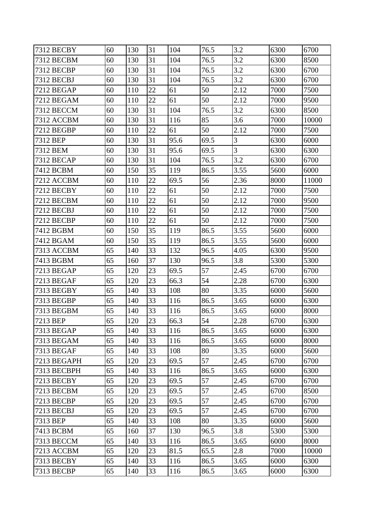| 7312 BECBY        | 60 | 130 | 31     | 104  | 76.5 | 3.2  | 6300 | 6700  |
|-------------------|----|-----|--------|------|------|------|------|-------|
| 7312 BECBM        | 60 | 130 | 31     | 104  | 76.5 | 3.2  | 6300 | 8500  |
| 7312 BECBP        | 60 | 130 | 31     | 104  | 76.5 | 3.2  | 6300 | 6700  |
| 7312 BECBJ        | 60 | 130 | 31     | 104  | 76.5 | 3.2  | 6300 | 6700  |
| 7212 BEGAP        | 60 | 110 | 22     | 61   | 50   | 2.12 | 7000 | 7500  |
| 7212 BEGAM        | 60 | 110 | $22\,$ | 61   | 50   | 2.12 | 7000 | 9500  |
| 7312 BECCM        | 60 | 130 | 31     | 104  | 76.5 | 3.2  | 6300 | 8500  |
| 7312 ACCBM        | 60 | 130 | 31     | 116  | 85   | 3.6  | 7000 | 10000 |
| 7212 BEGBP        | 60 | 110 | 22     | 61   | 50   | 2.12 | 7000 | 7500  |
| 7312 BEP          | 60 | 130 | 31     | 95.6 | 69.5 | 3    | 6300 | 6000  |
| 7312 BEM          | 60 | 130 | 31     | 95.6 | 69.5 | 3    | 6300 | 6300  |
| 7312 BECAP        | 60 | 130 | 31     | 104  | 76.5 | 3.2  | 6300 | 6700  |
| 7412 BCBM         | 60 | 150 | 35     | 119  | 86.5 | 3.55 | 5600 | 6000  |
| 7212 ACCBM        | 60 | 110 | 22     | 69.5 | 56   | 2.36 | 8000 | 11000 |
| 7212 BECBY        | 60 | 110 | 22     | 61   | 50   | 2.12 | 7000 | 7500  |
| 7212 BECBM        | 60 | 110 | 22     | 61   | 50   | 2.12 | 7000 | 9500  |
| 7212 BECBJ        | 60 | 110 | 22     | 61   | 50   | 2.12 | 7000 | 7500  |
| 7212 BECBP        | 60 | 110 | 22     | 61   | 50   | 2.12 | 7000 | 7500  |
| 7412 BGBM         | 60 | 150 | 35     | 119  | 86.5 | 3.55 | 5600 | 6000  |
| 7412 BGAM         | 60 | 150 | 35     | 119  | 86.5 | 3.55 | 5600 | 6000  |
| 7313 ACCBM        | 65 | 140 | 33     | 132  | 96.5 | 4.05 | 6300 | 9500  |
| 7413 BGBM         | 65 | 160 | 37     | 130  | 96.5 | 3.8  | 5300 | 5300  |
| 7213 BEGAP        | 65 | 120 | 23     | 69.5 | 57   | 2.45 | 6700 | 6700  |
| 7213 BEGAF        | 65 | 120 | 23     | 66.3 | 54   | 2.28 | 6700 | 6300  |
| 7313 BEGBY        | 65 | 140 | 33     | 108  | 80   | 3.35 | 6000 | 5600  |
| 7313 BEGBP        | 65 | 140 | 33     | 116  | 86.5 | 3.65 | 6000 | 6300  |
| 7313 BEGBM        | 65 | 140 | 33     | 116  | 86.5 | 3.65 | 6000 | 8000  |
| 7213 BEP          | 65 | 120 | 23     | 66.3 | 54   | 2.28 | 6700 | 6300  |
| 7313 BEGAP        | 65 | 140 | 33     | 116  | 86.5 | 3.65 | 6000 | 6300  |
| 7313 BEGAM        | 65 | 140 | 33     | 116  | 86.5 | 3.65 | 6000 | 8000  |
| 7313 BEGAF        | 65 | 140 | 33     | 108  | 80   | 3.35 | 6000 | 5600  |
| 7213 BEGAPH       | 65 | 120 | 23     | 69.5 | 57   | 2.45 | 6700 | 6700  |
| 7313 BECBPH       | 65 | 140 | 33     | 116  | 86.5 | 3.65 | 6000 | 6300  |
| 7213 BECBY        | 65 | 120 | 23     | 69.5 | 57   | 2.45 | 6700 | 6700  |
| <b>7213 BECBM</b> | 65 | 120 | 23     | 69.5 | 57   | 2.45 | 6700 | 8500  |
| 7213 BECBP        | 65 | 120 | 23     | 69.5 | 57   | 2.45 | 6700 | 6700  |
| 7213 BECBJ        | 65 | 120 | 23     | 69.5 | 57   | 2.45 | 6700 | 6700  |
| 7313 BEP          | 65 | 140 | 33     | 108  | 80   | 3.35 | 6000 | 5600  |
| 7413 BCBM         | 65 | 160 | 37     | 130  | 96.5 | 3.8  | 5300 | 5300  |
| <b>7313 BECCM</b> | 65 | 140 | 33     | 116  | 86.5 | 3.65 | 6000 | 8000  |
| 7213 ACCBM        | 65 | 120 | 23     | 81.5 | 65.5 | 2.8  | 7000 | 10000 |
| 7313 BECBY        | 65 | 140 | 33     | 116  | 86.5 | 3.65 | 6000 | 6300  |
| 7313 BECBP        | 65 | 140 | 33     | 116  | 86.5 | 3.65 | 6000 | 6300  |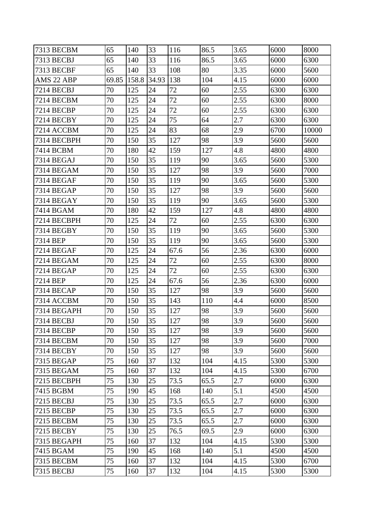| 7313 BECBM        | 65    | 140   | 33    | 116  | 86.5 | 3.65 | 6000 | 8000  |
|-------------------|-------|-------|-------|------|------|------|------|-------|
| 7313 BECBJ        | 65    | 140   | 33    | 116  | 86.5 | 3.65 | 6000 | 6300  |
| <b>7313 BECBF</b> | 65    | 140   | 33    | 108  | 80   | 3.35 | 6000 | 5600  |
| AMS 22 ABP        | 69.85 | 158.8 | 34.93 | 138  | 104  | 4.15 | 6000 | 6000  |
| 7214 BECBJ        | 70    | 125   | 24    | 72   | 60   | 2.55 | 6300 | 6300  |
| 7214 BECBM        | 70    | 125   | 24    | 72   | 60   | 2.55 | 6300 | 8000  |
| 7214 BECBP        | 70    | 125   | 24    | 72   | 60   | 2.55 | 6300 | 6300  |
| 7214 BECBY        | 70    | 125   | 24    | 75   | 64   | 2.7  | 6300 | 6300  |
| 7214 ACCBM        | 70    | 125   | 24    | 83   | 68   | 2.9  | 6700 | 10000 |
| 7314 BECBPH       | 70    | 150   | 35    | 127  | 98   | 3.9  | 5600 | 5600  |
| 7414 BCBM         | 70    | 180   | 42    | 159  | 127  | 4.8  | 4800 | 4800  |
| 7314 BEGAJ        | 70    | 150   | 35    | 119  | 90   | 3.65 | 5600 | 5300  |
| 7314 BEGAM        | 70    | 150   | 35    | 127  | 98   | 3.9  | 5600 | 7000  |
| 7314 BEGAF        | 70    | 150   | 35    | 119  | 90   | 3.65 | 5600 | 5300  |
| 7314 BEGAP        | 70    | 150   | 35    | 127  | 98   | 3.9  | 5600 | 5600  |
| <b>7314 BEGAY</b> | 70    | 150   | 35    | 119  | 90   | 3.65 | 5600 | 5300  |
| 7414 BGAM         | 70    | 180   | 42    | 159  | 127  | 4.8  | 4800 | 4800  |
| 7214 BECBPH       | 70    | 125   | 24    | 72   | 60   | 2.55 | 6300 | 6300  |
| 7314 BEGBY        | 70    | 150   | 35    | 119  | 90   | 3.65 | 5600 | 5300  |
| 7314 BEP          | 70    | 150   | 35    | 119  | 90   | 3.65 | 5600 | 5300  |
| 7214 BEGAF        | 70    | 125   | 24    | 67.6 | 56   | 2.36 | 6300 | 6000  |
| 7214 BEGAM        | 70    | 125   | 24    | 72   | 60   | 2.55 | 6300 | 8000  |
| 7214 BEGAP        | 70    | 125   | 24    | 72   | 60   | 2.55 | 6300 | 6300  |
| 7214 BEP          | 70    | 125   | 24    | 67.6 | 56   | 2.36 | 6300 | 6000  |
| 7314 BECAP        | 70    | 150   | 35    | 127  | 98   | 3.9  | 5600 | 5600  |
| 7314 ACCBM        | 70    | 150   | 35    | 143  | 110  | 4.4  | 6000 | 8500  |
| 7314 BEGAPH       | 70    | 150   | 35    | 127  | 98   | 3.9  | 5600 | 5600  |
| 7314 BECBJ        | 70    | 150   | 35    | 127  | 98   | 3.9  | 5600 | 5600  |
| 7314 BECBP        | 70    | 150   | 35    | 127  | 98   | 3.9  | 5600 | 5600  |
| <b>7314 BECBM</b> | 70    | 150   | 35    | 127  | 98   | 3.9  | 5600 | 7000  |
| 7314 BECBY        | 70    | 150   | 35    | 127  | 98   | 3.9  | 5600 | 5600  |
| 7315 BEGAP        | 75    | 160   | 37    | 132  | 104  | 4.15 | 5300 | 5300  |
| <b>7315 BEGAM</b> | 75    | 160   | 37    | 132  | 104  | 4.15 | 5300 | 6700  |
| 7215 BECBPH       | 75    | 130   | 25    | 73.5 | 65.5 | 2.7  | 6000 | 6300  |
| 7415 BGBM         | 75    | 190   | 45    | 168  | 140  | 5.1  | 4500 | 4500  |
| 7215 BECBJ        | 75    | 130   | 25    | 73.5 | 65.5 | 2.7  | 6000 | 6300  |
| <b>7215 BECBP</b> | 75    | 130   | 25    | 73.5 | 65.5 | 2.7  | 6000 | 6300  |
| <b>7215 BECBM</b> | 75    | 130   | 25    | 73.5 | 65.5 | 2.7  | 6000 | 6300  |
| <b>7215 BECBY</b> | 75    | 130   | 25    | 76.5 | 69.5 | 2.9  | 6000 | 6300  |
| 7315 BEGAPH       | 75    | 160   | 37    | 132  | 104  | 4.15 | 5300 | 5300  |
| 7415 BGAM         | 75    | 190   | 45    | 168  | 140  | 5.1  | 4500 | 4500  |
| <b>7315 BECBM</b> | 75    | 160   | 37    | 132  | 104  | 4.15 | 5300 | 6700  |
| 7315 BECBJ        | 75    | 160   | 37    | 132  | 104  | 4.15 | 5300 | 5300  |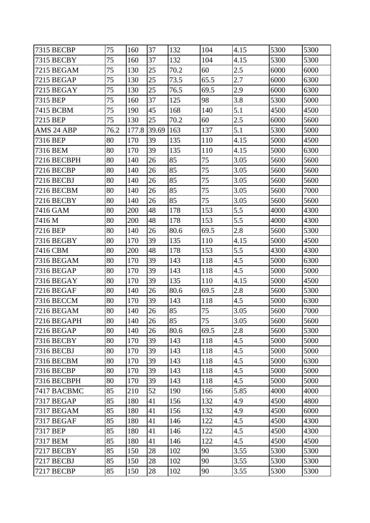| 7315 BECBP        | 75   | 160   | 37    | 132  | 104  | 4.15 | 5300 | 5300 |
|-------------------|------|-------|-------|------|------|------|------|------|
| 7315 BECBY        | 75   | 160   | 37    | 132  | 104  | 4.15 | 5300 | 5300 |
| 7215 BEGAM        | 75   | 130   | 25    | 70.2 | 60   | 2.5  | 6000 | 6000 |
| <b>7215 BEGAP</b> | 75   | 130   | 25    | 73.5 | 65.5 | 2.7  | 6000 | 6300 |
| <b>7215 BEGAY</b> | 75   | 130   | 25    | 76.5 | 69.5 | 2.9  | 6000 | 6300 |
| 7315 BEP          | 75   | 160   | 37    | 125  | 98   | 3.8  | 5300 | 5000 |
| 7415 BCBM         | 75   | 190   | 45    | 168  | 140  | 5.1  | 4500 | 4500 |
| 7215 BEP          | 75   | 130   | 25    | 70.2 | 60   | 2.5  | 6000 | 5600 |
| AMS 24 ABP        | 76.2 | 177.8 | 39.69 | 163  | 137  | 5.1  | 5300 | 5000 |
| 7316 BEP          | 80   | 170   | 39    | 135  | 110  | 4.15 | 5000 | 4500 |
| 7316 BEM          | 80   | 170   | 39    | 135  | 110  | 4.15 | 5000 | 6300 |
| 7216 BECBPH       | 80   | 140   | 26    | 85   | 75   | 3.05 | 5600 | 5600 |
| <b>7216 BECBP</b> | 80   | 140   | 26    | 85   | 75   | 3.05 | 5600 | 5600 |
| 7216 BECBJ        | 80   | 140   | 26    | 85   | 75   | 3.05 | 5600 | 5600 |
| 7216 BECBM        | 80   | 140   | 26    | 85   | 75   | 3.05 | 5600 | 7000 |
| <b>7216 BECBY</b> | 80   | 140   | 26    | 85   | 75   | 3.05 | 5600 | 5600 |
| 7416 GAM          | 80   | 200   | 48    | 178  | 153  | 5.5  | 4000 | 4300 |
| 7416 M            | 80   | 200   | 48    | 178  | 153  | 5.5  | 4000 | 4300 |
| 7216 BEP          | 80   | 140   | 26    | 80.6 | 69.5 | 2.8  | 5600 | 5300 |
| 7316 BEGBY        | 80   | 170   | 39    | 135  | 110  | 4.15 | 5000 | 4500 |
| 7416 CBM          | 80   | 200   | 48    | 178  | 153  | 5.5  | 4300 | 4300 |
| 7316 BEGAM        | 80   | 170   | 39    | 143  | 118  | 4.5  | 5000 | 6300 |
| 7316 BEGAP        | 80   | 170   | 39    | 143  | 118  | 4.5  | 5000 | 5000 |
| 7316 BEGAY        | 80   | 170   | 39    | 135  | 110  | 4.15 | 5000 | 4500 |
| 7216 BEGAF        | 80   | 140   | 26    | 80.6 | 69.5 | 2.8  | 5600 | 5300 |
| <b>7316 BECCM</b> | 80   | 170   | 39    | 143  | 118  | 4.5  | 5000 | 6300 |
| <b>7216 BEGAM</b> | 80   | 140   | 26    | 85   | 75   | 3.05 | 5600 | 7000 |
| 7216 BEGAPH       | 80   | 140   | 26    | 85   | 75   | 3.05 | 5600 | 5600 |
| <b>7216 BEGAP</b> | 80   | 140   | 26    | 80.6 | 69.5 | 2.8  | 5600 | 5300 |
| 7316 BECBY        | 80   | 170   | 39    | 143  | 118  | 4.5  | 5000 | 5000 |
| 7316 BECBJ        | 80   | 170   | 39    | 143  | 118  | 4.5  | 5000 | 5000 |
| 7316 BECBM        | 80   | 170   | 39    | 143  | 118  | 4.5  | 5000 | 6300 |
| <b>7316 BECBP</b> | 80   | 170   | 39    | 143  | 118  | 4.5  | 5000 | 5000 |
| 7316 BECBPH       | 80   | 170   | 39    | 143  | 118  | 4.5  | 5000 | 5000 |
| 7417 BACBMC       | 85   | 210   | 52    | 190  | 166  | 5.85 | 4000 | 4000 |
| <b>7317 BEGAP</b> | 85   | 180   | 41    | 156  | 132  | 4.9  | 4500 | 4800 |
| 7317 BEGAM        | 85   | 180   | 41    | 156  | 132  | 4.9  | 4500 | 6000 |
| <b>7317 BEGAF</b> | 85   | 180   | 41    | 146  | 122  | 4.5  | 4500 | 4300 |
| 7317 BEP          | 85   | 180   | 41    | 146  | 122  | 4.5  | 4500 | 4300 |
| 7317 BEM          | 85   | 180   | 41    | 146  | 122  | 4.5  | 4500 | 4500 |
| 7217 BECBY        | 85   | 150   | 28    | 102  | 90   | 3.55 | 5300 | 5300 |
| 7217 BECBJ        | 85   | 150   | 28    | 102  | 90   | 3.55 | 5300 | 5300 |
| 7217 BECBP        | 85   | 150   | 28    | 102  | 90   | 3.55 | 5300 | 5300 |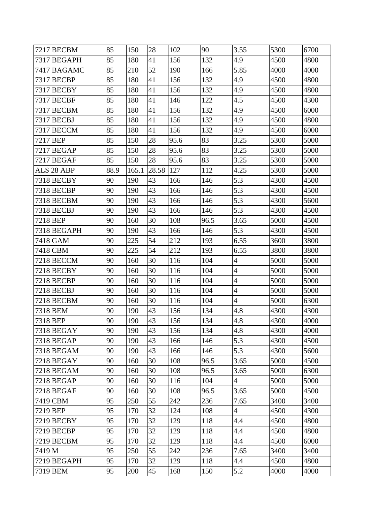| 7217 BECBM        | 85   | 150   | 28    | 102  | 90   | 3.55           | 5300 | 6700 |
|-------------------|------|-------|-------|------|------|----------------|------|------|
| 7317 BEGAPH       | 85   | 180   | 41    | 156  | 132  | 4.9            | 4500 | 4800 |
| 7417 BAGAMC       | 85   | 210   | 52    | 190  | 166  | 5.85           | 4000 | 4000 |
| 7317 BECBP        | 85   | 180   | 41    | 156  | 132  | 4.9            | 4500 | 4800 |
| 7317 BECBY        | 85   | 180   | 41    | 156  | 132  | 4.9            | 4500 | 4800 |
| 7317 BECBF        | 85   | 180   | 41    | 146  | 122  | 4.5            | 4500 | 4300 |
| 7317 BECBM        | 85   | 180   | 41    | 156  | 132  | 4.9            | 4500 | 6000 |
| 7317 BECBJ        | 85   | 180   | 41    | 156  | 132  | 4.9            | 4500 | 4800 |
| 7317 BECCM        | 85   | 180   | 41    | 156  | 132  | 4.9            | 4500 | 6000 |
| 7217 BEP          | 85   | 150   | 28    | 95.6 | 83   | 3.25           | 5300 | 5000 |
| 7217 BEGAP        | 85   | 150   | 28    | 95.6 | 83   | 3.25           | 5300 | 5000 |
| 7217 BEGAF        | 85   | 150   | 28    | 95.6 | 83   | 3.25           | 5300 | 5000 |
| ALS 28 ABP        | 88.9 | 165.1 | 28.58 | 127  | 112  | 4.25           | 5300 | 5000 |
| 7318 BECBY        | 90   | 190   | 43    | 166  | 146  | 5.3            | 4300 | 4500 |
| 7318 BECBP        | 90   | 190   | 43    | 166  | 146  | 5.3            | 4300 | 4500 |
| 7318 BECBM        | 90   | 190   | 43    | 166  | 146  | 5.3            | 4300 | 5600 |
| 7318 BECBJ        | 90   | 190   | 43    | 166  | 146  | 5.3            | 4300 | 4500 |
| 7218 BEP          | 90   | 160   | 30    | 108  | 96.5 | 3.65           | 5000 | 4500 |
| 7318 BEGAPH       | 90   | 190   | 43    | 166  | 146  | 5.3            | 4300 | 4500 |
| 7418 GAM          | 90   | 225   | 54    | 212  | 193  | 6.55           | 3600 | 3800 |
| 7418 CBM          | 90   | 225   | 54    | 212  | 193  | 6.55           | 3800 | 3800 |
| 7218 BECCM        | 90   | 160   | 30    | 116  | 104  | $\overline{4}$ | 5000 | 5000 |
| 7218 BECBY        | 90   | 160   | 30    | 116  | 104  | $\overline{4}$ | 5000 | 5000 |
| 7218 BECBP        | 90   | 160   | 30    | 116  | 104  | $\overline{4}$ | 5000 | 5000 |
| 7218 BECBJ        | 90   | 160   | 30    | 116  | 104  | $\overline{4}$ | 5000 | 5000 |
| 7218 BECBM        | 90   | 160   | 30    | 116  | 104  | $\overline{4}$ | 5000 | 6300 |
| 7318 BEM          | 90   | 190   | 43    | 156  | 134  | 4.8            | 4300 | 4300 |
| 7318 BEP          | 90   | 190   | 43    | 156  | 134  | 4.8            | 4300 | 4000 |
| 7318 BEGAY        | 90   | 190   | 43    | 156  | 134  | 4.8            | 4300 | 4000 |
| <b>7318 BEGAP</b> | 90   | 190   | 43    | 166  | 146  | 5.3            | 4300 | 4500 |
| <b>7318 BEGAM</b> | 90   | 190   | 43    | 166  | 146  | 5.3            | 4300 | 5600 |
| 7218 BEGAY        | 90   | 160   | 30    | 108  | 96.5 | 3.65           | 5000 | 4500 |
| <b>7218 BEGAM</b> | 90   | 160   | 30    | 108  | 96.5 | 3.65           | 5000 | 6300 |
| 7218 BEGAP        | 90   | 160   | 30    | 116  | 104  | $\overline{4}$ | 5000 | 5000 |
| <b>7218 BEGAF</b> | 90   | 160   | 30    | 108  | 96.5 | 3.65           | 5000 | 4500 |
| 7419 CBM          | 95   | 250   | 55    | 242  | 236  | 7.65           | 3400 | 3400 |
| 7219 BEP          | 95   | 170   | 32    | 124  | 108  | $\overline{4}$ | 4500 | 4300 |
| 7219 BECBY        | 95   | 170   | 32    | 129  | 118  | 4.4            | 4500 | 4800 |
| 7219 BECBP        | 95   | 170   | 32    | 129  | 118  | 4.4            | 4500 | 4800 |
| <b>7219 BECBM</b> | 95   | 170   | 32    | 129  | 118  | 4.4            | 4500 | 6000 |
| 7419 M            | 95   | 250   | 55    | 242  | 236  | 7.65           | 3400 | 3400 |
| 7219 BEGAPH       | 95   | 170   | 32    | 129  | 118  | 4.4            | 4500 | 4800 |
| 7319 BEM          | 95   | 200   | 45    | 168  | 150  | 5.2            | 4000 | 4000 |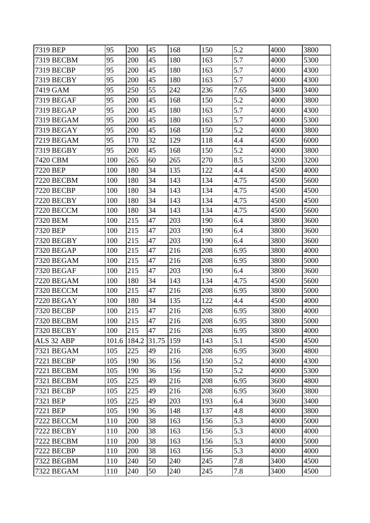| 7319 BEP          | 95    | 200   | 45    | 168 | 150 | 5.2  | 4000 | 3800 |
|-------------------|-------|-------|-------|-----|-----|------|------|------|
| 7319 BECBM        | 95    | 200   | 45    | 180 | 163 | 5.7  | 4000 | 5300 |
| 7319 BECBP        | 95    | 200   | 45    | 180 | 163 | 5.7  | 4000 | 4300 |
| 7319 BECBY        | 95    | 200   | 45    | 180 | 163 | 5.7  | 4000 | 4300 |
| 7419 GAM          | 95    | 250   | 55    | 242 | 236 | 7.65 | 3400 | 3400 |
| 7319 BEGAF        | 95    | 200   | 45    | 168 | 150 | 5.2  | 4000 | 3800 |
| 7319 BEGAP        | 95    | 200   | 45    | 180 | 163 | 5.7  | 4000 | 4300 |
| 7319 BEGAM        | 95    | 200   | 45    | 180 | 163 | 5.7  | 4000 | 5300 |
| 7319 BEGAY        | 95    | 200   | 45    | 168 | 150 | 5.2  | 4000 | 3800 |
| 7219 BEGAM        | 95    | 170   | 32    | 129 | 118 | 4.4  | 4500 | 6000 |
| 7319 BEGBY        | 95    | 200   | 45    | 168 | 150 | 5.2  | 4000 | 3800 |
| 7420 CBM          | 100   | 265   | 60    | 265 | 270 | 8.5  | 3200 | 3200 |
| 7220 BEP          | 100   | 180   | 34    | 135 | 122 | 4.4  | 4500 | 4000 |
| 7220 BECBM        | 100   | 180   | 34    | 143 | 134 | 4.75 | 4500 | 5600 |
| 7220 BECBP        | 100   | 180   | 34    | 143 | 134 | 4.75 | 4500 | 4500 |
| 7220 BECBY        | 100   | 180   | 34    | 143 | 134 | 4.75 | 4500 | 4500 |
| 7220 BECCM        | 100   | 180   | 34    | 143 | 134 | 4.75 | 4500 | 5600 |
| 7320 BEM          | 100   | 215   | 47    | 203 | 190 | 6.4  | 3800 | 3600 |
| 7320 BEP          | 100   | 215   | 47    | 203 | 190 | 6.4  | 3800 | 3600 |
| 7320 BEGBY        | 100   | 215   | 47    | 203 | 190 | 6.4  | 3800 | 3600 |
| 7320 BEGAP        | 100   | 215   | 47    | 216 | 208 | 6.95 | 3800 | 4000 |
| 7320 BEGAM        | 100   | 215   | 47    | 216 | 208 | 6.95 | 3800 | 5000 |
| 7320 BEGAF        | 100   | 215   | 47    | 203 | 190 | 6.4  | 3800 | 3600 |
| 7220 BEGAM        | 100   | 180   | 34    | 143 | 134 | 4.75 | 4500 | 5600 |
| 7320 BECCM        | 100   | 215   | 47    | 216 | 208 | 6.95 | 3800 | 5000 |
| 7220 BEGAY        | 100   | 180   | 34    | 135 | 122 | 4.4  | 4500 | 4000 |
| 7320 BECBP        | 100   | 215   | 47    | 216 | 208 | 6.95 | 3800 | 4000 |
| 7320 BECBM        | 100   | 215   | 47    | 216 | 208 | 6.95 | 3800 | 5000 |
| 7320 BECBY        | 100   | 215   | 47    | 216 | 208 | 6.95 | 3800 | 4000 |
| ALS 32 ABP        | 101.6 | 184.2 | 31.75 | 159 | 143 | 5.1  | 4500 | 4500 |
| <b>7321 BEGAM</b> | 105   | 225   | 49    | 216 | 208 | 6.95 | 3600 | 4800 |
| 7221 BECBP        | 105   | 190   | 36    | 156 | 150 | 5.2  | 4000 | 4300 |
| <b>7221 BECBM</b> | 105   | 190   | 36    | 156 | 150 | 5.2  | 4000 | 5300 |
| <b>7321 BECBM</b> | 105   | 225   | 49    | 216 | 208 | 6.95 | 3600 | 4800 |
| 7321 BECBP        | 105   | 225   | 49    | 216 | 208 | 6.95 | 3600 | 3800 |
| 7321 BEP          | 105   | 225   | 49    | 203 | 193 | 6.4  | 3600 | 3400 |
| 7221 BEP          | 105   | 190   | 36    | 148 | 137 | 4.8  | 4000 | 3800 |
| 7222 BECCM        | 110   | 200   | 38    | 163 | 156 | 5.3  | 4000 | 5000 |
| 7222 BECBY        | 110   | 200   | 38    | 163 | 156 | 5.3  | 4000 | 4000 |
| 7222 BECBM        | 110   | 200   | 38    | 163 | 156 | 5.3  | 4000 | 5000 |
| 7222 BECBP        | 110   | 200   | 38    | 163 | 156 | 5.3  | 4000 | 4000 |
| 7322 BEGBM        | 110   | 240   | 50    | 240 | 245 | 7.8  | 3400 | 4500 |
| <b>7322 BEGAM</b> | 110   | 240   | 50    | 240 | 245 | 7.8  | 3400 | 4500 |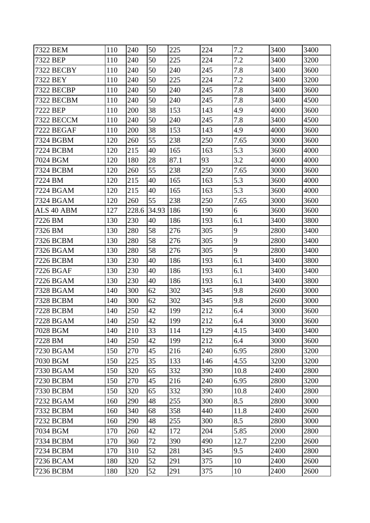| 7322 BEM         | 110 | 240   | 50    | 225  | 224 | 7.2  | 3400 | 3400 |
|------------------|-----|-------|-------|------|-----|------|------|------|
| 7322 BEP         | 110 | 240   | 50    | 225  | 224 | 7.2  | 3400 | 3200 |
| 7322 BECBY       | 110 | 240   | 50    | 240  | 245 | 7.8  | 3400 | 3600 |
| 7322 BEY         | 110 | 240   | 50    | 225  | 224 | 7.2  | 3400 | 3200 |
| 7322 BECBP       | 110 | 240   | 50    | 240  | 245 | 7.8  | 3400 | 3600 |
| 7322 BECBM       | 110 | 240   | 50    | 240  | 245 | 7.8  | 3400 | 4500 |
| 7222 BEP         | 110 | 200   | 38    | 153  | 143 | 4.9  | 4000 | 3600 |
| 7322 BECCM       | 110 | 240   | 50    | 240  | 245 | 7.8  | 3400 | 4500 |
| 7222 BEGAF       | 110 | 200   | 38    | 153  | 143 | 4.9  | 4000 | 3600 |
| 7324 BGBM        | 120 | 260   | 55    | 238  | 250 | 7.65 | 3000 | 3600 |
| 7224 BCBM        | 120 | 215   | 40    | 165  | 163 | 5.3  | 3600 | 4000 |
| 7024 BGM         | 120 | 180   | 28    | 87.1 | 93  | 3.2  | 4000 | 4000 |
| 7324 BCBM        | 120 | 260   | 55    | 238  | 250 | 7.65 | 3000 | 3600 |
| 7224 BM          | 120 | 215   | 40    | 165  | 163 | 5.3  | 3600 | 4000 |
| 7224 BGAM        | 120 | 215   | 40    | 165  | 163 | 5.3  | 3600 | 4000 |
| 7324 BGAM        | 120 | 260   | 55    | 238  | 250 | 7.65 | 3000 | 3600 |
| ALS 40 ABM       | 127 | 228.6 | 34.93 | 186  | 190 | 6    | 3600 | 3600 |
| 7226 BM          | 130 | 230   | 40    | 186  | 193 | 6.1  | 3400 | 3800 |
| 7326 BM          | 130 | 280   | 58    | 276  | 305 | 9    | 2800 | 3400 |
| 7326 BCBM        | 130 | 280   | 58    | 276  | 305 | 9    | 2800 | 3400 |
| 7326 BGAM        | 130 | 280   | 58    | 276  | 305 | 9    | 2800 | 3400 |
| 7226 BCBM        | 130 | 230   | 40    | 186  | 193 | 6.1  | 3400 | 3800 |
| 7226 BGAF        | 130 | 230   | 40    | 186  | 193 | 6.1  | 3400 | 3400 |
| 7226 BGAM        | 130 | 230   | 40    | 186  | 193 | 6.1  | 3400 | 3800 |
| 7328 BGAM        | 140 | 300   | 62    | 302  | 345 | 9.8  | 2600 | 3000 |
| <b>7328 BCBM</b> | 140 | 300   | 62    | 302  | 345 | 9.8  | 2600 | 3000 |
| 7228 BCBM        | 140 | 250   | 42    | 199  | 212 | 6.4  | 3000 | 3600 |
| 7228 BGAM        | 140 | 250   | 42    | 199  | 212 | 6.4  | 3000 | 3600 |
| 7028 BGM         | 140 | 210   | 33    | 114  | 129 | 4.15 | 3400 | 3400 |
| 7228 BM          | 140 | 250   | 42    | 199  | 212 | 6.4  | 3000 | 3600 |
| 7230 BGAM        | 150 | 270   | 45    | 216  | 240 | 6.95 | 2800 | 3200 |
| 7030 BGM         | 150 | 225   | 35    | 133  | 146 | 4.55 | 3200 | 3200 |
| 7330 BGAM        | 150 | 320   | 65    | 332  | 390 | 10.8 | 2400 | 2800 |
| 7230 BCBM        | 150 | 270   | 45    | 216  | 240 | 6.95 | 2800 | 3200 |
| 7330 BCBM        | 150 | 320   | 65    | 332  | 390 | 10.8 | 2400 | 2800 |
| 7232 BGAM        | 160 | 290   | 48    | 255  | 300 | 8.5  | 2800 | 3000 |
| 7332 BCBM        | 160 | 340   | 68    | 358  | 440 | 11.8 | 2400 | 2600 |
| 7232 BCBM        | 160 | 290   | 48    | 255  | 300 | 8.5  | 2800 | 3000 |
| 7034 BGM         | 170 | 260   | 42    | 172  | 204 | 5.85 | 2000 | 2800 |
| 7334 BCBM        | 170 | 360   | 72    | 390  | 490 | 12.7 | 2200 | 2600 |
| 7234 BCBM        | 170 | 310   | 52    | 281  | 345 | 9.5  | 2400 | 2800 |
| 7236 BCAM        | 180 | 320   | 52    | 291  | 375 | 10   | 2400 | 2600 |
| 7236 BCBM        | 180 | 320   | 52    | 291  | 375 | 10   | 2400 | 2600 |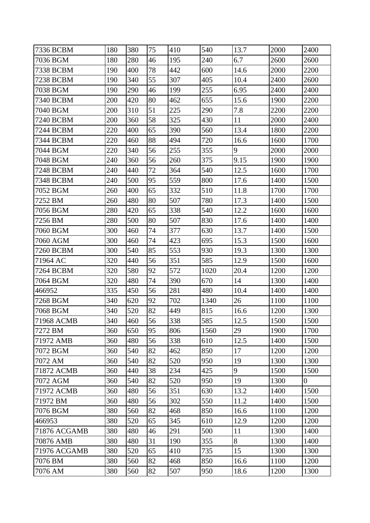| 7336 BCBM           | 180 | 380 | 75 | 410 | 540  | 13.7 | 2000 | 2400           |
|---------------------|-----|-----|----|-----|------|------|------|----------------|
| 7036 BGM            | 180 | 280 | 46 | 195 | 240  | 6.7  | 2600 | 2600           |
| 7338 BCBM           | 190 | 400 | 78 | 442 | 600  | 14.6 | 2000 | 2200           |
| <b>7238 BCBM</b>    | 190 | 340 | 55 | 307 | 405  | 10.4 | 2400 | 2600           |
| 7038 BGM            | 190 | 290 | 46 | 199 | 255  | 6.95 | 2400 | 2400           |
| 7340 BCBM           | 200 | 420 | 80 | 462 | 655  | 15.6 | 1900 | 2200           |
| 7040 BGM            | 200 | 310 | 51 | 225 | 290  | 7.8  | 2200 | 2200           |
| 7240 BCBM           | 200 | 360 | 58 | 325 | 430  | 11   | 2000 | 2400           |
| 7244 BCBM           | 220 | 400 | 65 | 390 | 560  | 13.4 | 1800 | 2200           |
| 7344 BCBM           | 220 | 460 | 88 | 494 | 720  | 16.6 | 1600 | 1700           |
| 7044 BGM            | 220 | 340 | 56 | 255 | 355  | 9    | 2000 | 2000           |
| 7048 BGM            | 240 | 360 | 56 | 260 | 375  | 9.15 | 1900 | 1900           |
| <b>7248 BCBM</b>    | 240 | 440 | 72 | 364 | 540  | 12.5 | 1600 | 1700           |
| <b>7348 BCBM</b>    | 240 | 500 | 95 | 559 | 800  | 17.6 | 1400 | 1500           |
| 7052 BGM            | 260 | 400 | 65 | 332 | 510  | 11.8 | 1700 | 1700           |
| 7252 BM             | 260 | 480 | 80 | 507 | 780  | 17.3 | 1400 | 1500           |
| 7056 BGM            | 280 | 420 | 65 | 338 | 540  | 12.2 | 1600 | 1600           |
| 7256 BM             | 280 | 500 | 80 | 507 | 830  | 17.6 | 1400 | 1400           |
| 7060 BGM            | 300 | 460 | 74 | 377 | 630  | 13.7 | 1400 | 1500           |
| 7060 AGM            | 300 | 460 | 74 | 423 | 695  | 15.3 | 1500 | 1600           |
| 7260 BCBM           | 300 | 540 | 85 | 553 | 930  | 19.3 | 1300 | 1300           |
| 71964 AC            | 320 | 440 | 56 | 351 | 585  | 12.9 | 1500 | 1600           |
| 7264 BCBM           | 320 | 580 | 92 | 572 | 1020 | 20.4 | 1200 | 1200           |
| 7064 BGM            | 320 | 480 | 74 | 390 | 670  | 14   | 1300 | 1400           |
| 466952              | 335 | 450 | 56 | 281 | 480  | 10.4 | 1400 | 1400           |
| 7268 BGM            | 340 | 620 | 92 | 702 | 1340 | 26   | 1100 | 1100           |
| 7068 BGM            | 340 | 520 | 82 | 449 | 815  | 16.6 | 1200 | 1300           |
| 71968 ACMB          | 340 | 460 | 56 | 338 | 585  | 12.5 | 1500 | 1500           |
| 7272 BM             | 360 | 650 | 95 | 806 | 1560 | 29   | 1900 | 1700           |
| 71972 AMB           | 360 | 480 | 56 | 338 | 610  | 12.5 | 1400 | 1500           |
| 7072 BGM            | 360 | 540 | 82 | 462 | 850  | 17   | 1200 | 1200           |
| 7072 AM             | 360 | 540 | 82 | 520 | 950  | 19   | 1300 | 1300           |
| 71872 ACMB          | 360 | 440 | 38 | 234 | 425  | 9    | 1500 | 1500           |
| 7072 AGM            | 360 | 540 | 82 | 520 | 950  | 19   | 1300 | $\overline{0}$ |
| 71972 ACMB          | 360 | 480 | 56 | 351 | 630  | 13.2 | 1400 | 1500           |
| 71972 BM            | 360 | 480 | 56 | 302 | 550  | 11.2 | 1400 | 1500           |
| 7076 BGM            | 380 | 560 | 82 | 468 | 850  | 16.6 | 1100 | 1200           |
| 466953              | 380 | 520 | 65 | 345 | 610  | 12.9 | 1200 | 1200           |
| <b>71876 ACGAMB</b> | 380 | 480 | 46 | 291 | 500  | 11   | 1300 | 1400           |
| 70876 AMB           | 380 | 480 | 31 | 190 | 355  | 8    | 1300 | 1400           |
| 71976 ACGAMB        | 380 | 520 | 65 | 410 | 735  | 15   | 1300 | 1300           |
| 7076 BM             | 380 | 560 | 82 | 468 | 850  | 16.6 | 1100 | 1200           |
| 7076 AM             | 380 | 560 | 82 | 507 | 950  | 18.6 | 1200 | 1300           |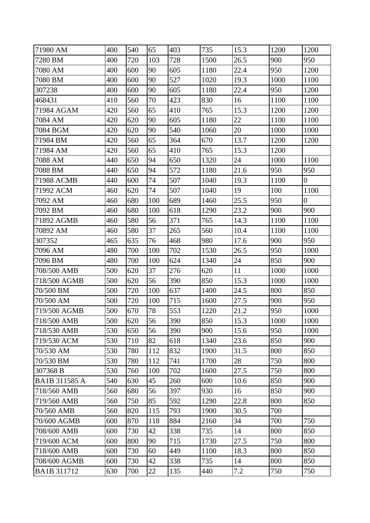| 71980 AM      | 400 | 540 | 65  | 403 | 735  | 15.3 | 1200 | 1200           |
|---------------|-----|-----|-----|-----|------|------|------|----------------|
| 7280 BM       | 400 | 720 | 103 | 728 | 1500 | 26.5 | 900  | 950            |
| 7080 AM       | 400 | 600 | 90  | 605 | 1180 | 22.4 | 950  | 1200           |
| 7080 BM       | 400 | 600 | 90  | 527 | 1020 | 19.3 | 1000 | 1100           |
| 307238        | 400 | 600 | 90  | 605 | 1180 | 22.4 | 950  | 1200           |
| 468431        | 410 | 560 | 70  | 423 | 830  | 16   | 1100 | 1100           |
| 71984 AGAM    | 420 | 560 | 65  | 410 | 765  | 15.3 | 1200 | 1200           |
| 7084 AM       | 420 | 620 | 90  | 605 | 1180 | 22   | 1100 | 1100           |
| 7084 BGM      | 420 | 620 | 90  | 540 | 1060 | 20   | 1000 | 1000           |
| 71984 BM      | 420 | 560 | 65  | 364 | 670  | 13.7 | 1200 | 1200           |
| 71984 AM      | 420 | 560 | 65  | 410 | 765  | 15.3 | 1200 |                |
| 7088 AM       | 440 | 650 | 94  | 650 | 1320 | 24   | 1000 | 1100           |
| 7088 BM       | 440 | 650 | 94  | 572 | 1180 | 21.6 | 950  | 950            |
| 71988 ACMB    | 440 | 600 | 74  | 507 | 1040 | 19.3 | 1100 | $\overline{0}$ |
| 71992 ACM     | 460 | 620 | 74  | 507 | 1040 | 19   | 100  | 1100           |
| 7092 AM       | 460 | 680 | 100 | 689 | 1460 | 25.5 | 950  | $\overline{0}$ |
| 7092 BM       | 460 | 680 | 100 | 618 | 1290 | 23.2 | 900  | 900            |
| 71892 AGMB    | 460 | 580 | 56  | 371 | 765  | 14.3 | 1100 | 1100           |
| 70892 AM      | 460 | 580 | 37  | 265 | 560  | 10.4 | 1100 | 1100           |
| 307352        | 465 | 635 | 76  | 468 | 980  | 17.6 | 900  | 950            |
| 7096 AM       | 480 | 700 | 100 | 702 | 1530 | 26.5 | 950  | 1000           |
| 7096 BM       | 480 | 700 | 100 | 624 | 1340 | 24   | 850  | 900            |
| 708/500 AMB   | 500 | 620 | 37  | 276 | 620  | 11   | 1000 | 1000           |
| 718/500 AGMB  | 500 | 620 | 56  | 390 | 850  | 15.3 | 1000 | 1000           |
| 70/500 BM     | 500 | 720 | 100 | 637 | 1400 | 24.5 | 800  | 850            |
| 70/500 AM     | 500 | 720 | 100 | 715 | 1600 | 27.5 | 900  | 950            |
| 719/500 AGMB  | 500 | 670 | 78  | 553 | 1220 | 21.2 | 950  | 1000           |
| 718/500 AMB   | 500 | 620 | 56  | 390 | 850  | 15.3 | 1000 | 1000           |
| 718/530 AMB   | 530 | 650 | 56  | 390 | 900  | 15.6 | 950  | 1000           |
| 719/530 ACM   | 530 | 710 | 82  | 618 | 1340 | 23.6 | 850  | 900            |
| 70/530 AM     | 530 | 780 | 112 | 832 | 1900 | 31.5 | 800  | 850            |
| 70/530 BM     | 530 | 780 | 112 | 741 | 1700 | 28   | 750  | 800            |
| 307368 B      | 530 | 760 | 100 | 702 | 1600 | 27.5 | 750  | 800            |
| BA1B 311585 A | 540 | 630 | 45  | 260 | 600  | 10.6 | 850  | 900            |
| 718/560 AMB   | 560 | 680 | 56  | 397 | 930  | 16   | 850  | 900            |
| 719/560 AMB   | 560 | 750 | 85  | 592 | 1290 | 22.8 | 800  | 850            |
| 70/560 AMB    | 560 | 820 | 115 | 793 | 1900 | 30.5 | 700  |                |
| 70/600 AGMB   | 600 | 870 | 118 | 884 | 2160 | 34   | 700  | 750            |
| 708/600 AMB   | 600 | 730 | 42  | 338 | 735  | 14   | 800  | 850            |
| 719/600 ACM   | 600 | 800 | 90  | 715 | 1730 | 27.5 | 750  | 800            |
| 718/600 AMB   | 600 | 730 | 60  | 449 | 1100 | 18.3 | 800  | 850            |
| 708/600 AGMB  | 600 | 730 | 42  | 338 | 735  | 14   | 800  | 850            |
| BA1B 311712   | 630 | 700 | 22  | 135 | 440  | 7.2  | 750  | 750            |